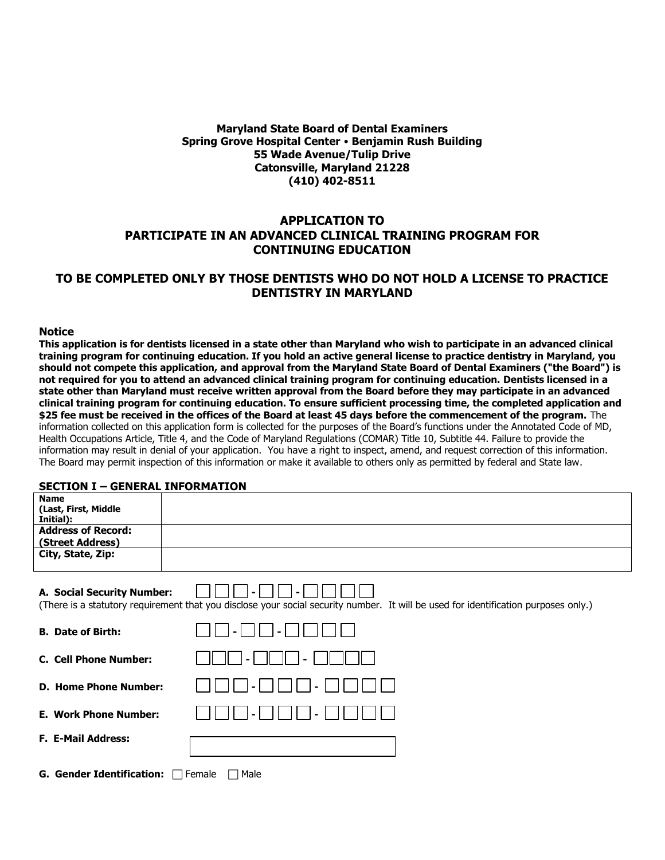## **Maryland State Board of Dental Examiners Spring Grove Hospital Center Benjamin Rush Building 55 Wade Avenue/Tulip Drive Catonsville, Maryland 21228 (410) 402-8511**

# **APPLICATION TO PARTICIPATE IN AN ADVANCED CLINICAL TRAINING PROGRAM FOR CONTINUING EDUCATION**

# **TO BE COMPLETED ONLY BY THOSE DENTISTS WHO DO NOT HOLD A LICENSE TO PRACTICE DENTISTRY IN MARYLAND**

#### **Notice**

**This application is for dentists licensed in a state other than Maryland who wish to participate in an advanced clinical training program for continuing education. If you hold an active general license to practice dentistry in Maryland, you should not compete this application, and approval from the Maryland State Board of Dental Examiners ("the Board") is not required for you to attend an advanced clinical training program for continuing education. Dentists licensed in a state other than Maryland must receive written approval from the Board before they may participate in an advanced clinical training program for continuing education. To ensure sufficient processing time, the completed application and \$25 fee must be received in the offices of the Board at least 45 days before the commencement of the program.** The information collected on this application form is collected for the purposes of the Board's functions under the Annotated Code of MD, Health Occupations Article, Title 4, and the Code of Maryland Regulations (COMAR) Title 10, Subtitle 44. Failure to provide the information may result in denial of your application. You have a right to inspect, amend, and request correction of this information. The Board may permit inspection of this information or make it available to others only as permitted by federal and State law.

# **SECTION I – GENERAL INFORMATION**

| JLJI LUIT 1                                      | SEREIGHE INTON-IATION                                                                                                               |
|--------------------------------------------------|-------------------------------------------------------------------------------------------------------------------------------------|
| <b>Name</b><br>(Last, First, Middle<br>Initial): |                                                                                                                                     |
| <b>Address of Record:</b><br>(Street Address)    |                                                                                                                                     |
| City, State, Zip:                                |                                                                                                                                     |
| A. Social Security Number:                       | (There is a statutory requirement that you disclose your social security number. It will be used for identification purposes only.) |
| <b>B.</b> Date of Birth:                         |                                                                                                                                     |
| <b>C. Cell Phone Number:</b>                     |                                                                                                                                     |
| <b>D. Home Phone Number:</b>                     |                                                                                                                                     |
| <b>E. Work Phone Number:</b>                     |                                                                                                                                     |
| F. E-Mail Address:                               |                                                                                                                                     |
| <b>G. Gender Identification:</b>                 | Male<br>Female                                                                                                                      |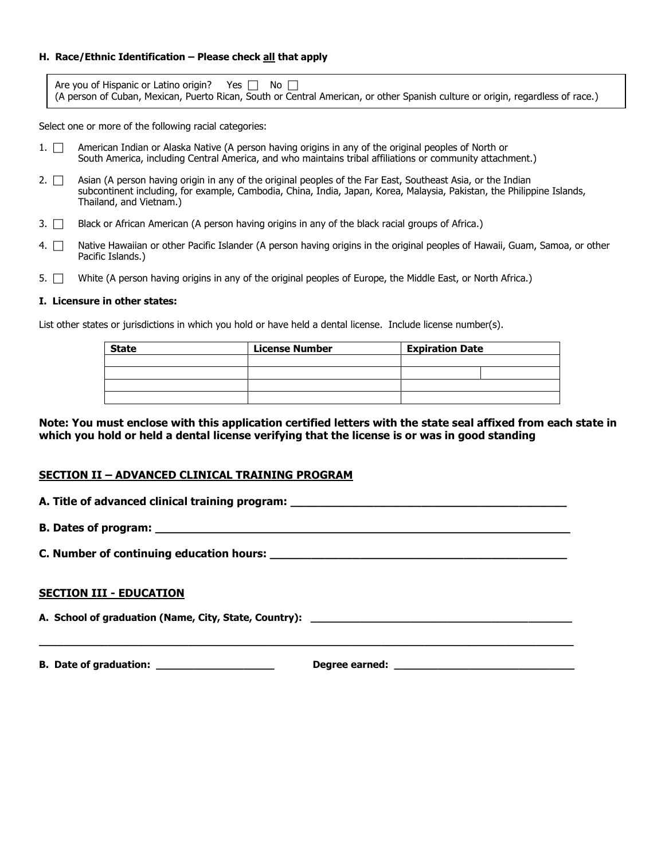### **H. Race/Ethnic Identification – Please check all that apply**

| Are you of Hispanic or Latino origin? Yes $\Box$ No $\Box$                                                                     |  |  |  |  |  |
|--------------------------------------------------------------------------------------------------------------------------------|--|--|--|--|--|
| (A person of Cuban, Mexican, Puerto Rican, South or Central American, or other Spanish culture or origin, regardless of race.) |  |  |  |  |  |

Select one or more of the following racial categories:

- 1.  $\Box$  American Indian or Alaska Native (A person having origins in any of the original peoples of North or South America, including Central America, and who maintains tribal affiliations or community attachment.)
- 2.  $\Box$  Asian (A person having origin in any of the original peoples of the Far East, Southeast Asia, or the Indian subcontinent including, for example, Cambodia, China, India, Japan, Korea, Malaysia, Pakistan, the Philippine Islands, Thailand, and Vietnam.)
- 3.  $\Box$  Black or African American (A person having origins in any of the black racial groups of Africa.)
- 4. <sup>Native</sup> Hawaiian or other Pacific Islander (A person having origins in the original peoples of Hawaii, Guam, Samoa, or other Pacific Islands.)
- 5.  $\Box$  White (A person having origins in any of the original peoples of Europe, the Middle East, or North Africa.)

#### **I. Licensure in other states:**

List other states or jurisdictions in which you hold or have held a dental license. Include license number(s).

| <b>State</b> | <b>License Number</b> | <b>Expiration Date</b> |  |  |
|--------------|-----------------------|------------------------|--|--|
|              |                       |                        |  |  |
|              |                       |                        |  |  |
|              |                       |                        |  |  |
|              |                       |                        |  |  |

**Note: You must enclose with this application certified letters with the state seal affixed from each state in which you hold or held a dental license verifying that the license is or was in good standing**

### **SECTION II – ADVANCED CLINICAL TRAINING PROGRAM**

**A. Title of advanced clinical training program: \_\_\_\_\_\_\_\_\_\_\_\_\_\_\_\_\_\_\_\_\_\_\_\_\_\_\_\_\_\_\_\_\_\_\_\_\_\_\_\_**

**\_\_\_\_\_\_\_\_\_\_\_\_\_\_\_\_\_\_\_\_\_\_\_\_\_\_\_\_\_\_\_\_\_\_\_\_\_\_\_\_\_\_\_\_\_\_\_\_\_\_\_\_\_\_\_\_\_\_\_\_\_\_\_\_\_\_\_\_\_\_\_\_\_\_\_\_\_\_\_\_\_\_\_\_\_\_**

**B. Dates of program: \_\_\_\_\_\_\_\_\_\_\_\_\_\_\_\_\_\_\_\_\_\_\_\_\_\_\_\_\_\_\_\_\_\_\_\_\_\_\_\_\_\_\_\_\_\_\_\_\_\_\_\_\_\_\_\_\_\_\_\_**

**C. Number of continuing education hours:**  $\blacksquare$ 

### **SECTION III - EDUCATION**

**A. School of graduation (Name, City, State, Country):** 

**B.** Date of graduation: the control of the control of the Degree earned:  $\blacksquare$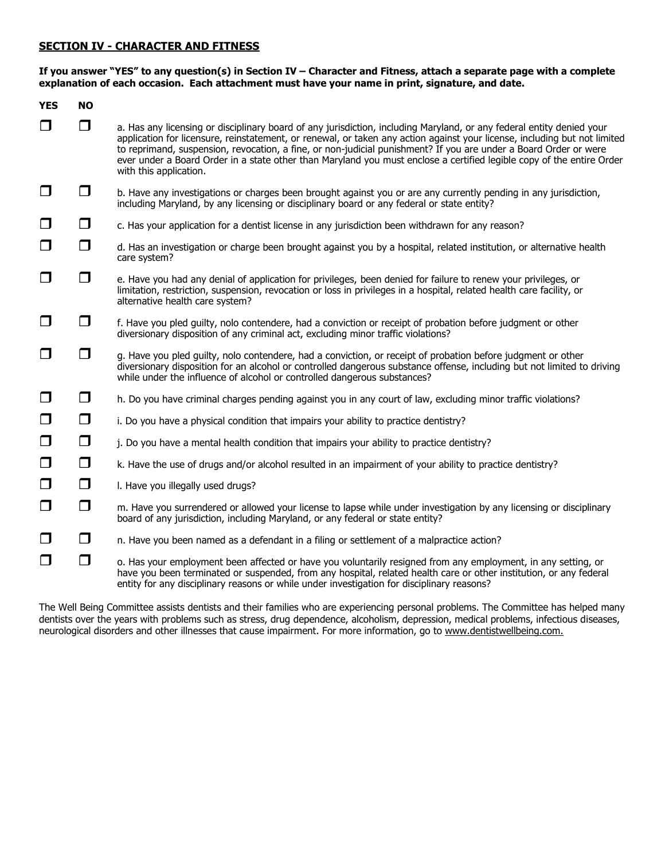### **SECTION IV - CHARACTER AND FITNESS**

### **If you answer "YES" to any question(s) in Section IV – Character and Fitness, attach a separate page with a complete explanation of each occasion. Each attachment must have your name in print, signature, and date.**

| <b>YES</b> | <b>NO</b> |                                                                                                                                                                                                                                                                                                                                                                                                                                                                                                                           |
|------------|-----------|---------------------------------------------------------------------------------------------------------------------------------------------------------------------------------------------------------------------------------------------------------------------------------------------------------------------------------------------------------------------------------------------------------------------------------------------------------------------------------------------------------------------------|
| □          | $\Box$    | a. Has any licensing or disciplinary board of any jurisdiction, including Maryland, or any federal entity denied your<br>application for licensure, reinstatement, or renewal, or taken any action against your license, including but not limited<br>to reprimand, suspension, revocation, a fine, or non-judicial punishment? If you are under a Board Order or were<br>ever under a Board Order in a state other than Maryland you must enclose a certified legible copy of the entire Order<br>with this application. |
| $\Box$     | ◘         | b. Have any investigations or charges been brought against you or are any currently pending in any jurisdiction,<br>including Maryland, by any licensing or disciplinary board or any federal or state entity?                                                                                                                                                                                                                                                                                                            |
| $\Box$     | $\Box$    | c. Has your application for a dentist license in any jurisdiction been withdrawn for any reason?                                                                                                                                                                                                                                                                                                                                                                                                                          |
| $\Box$     | $\Box$    | d. Has an investigation or charge been brought against you by a hospital, related institution, or alternative health<br>care system?                                                                                                                                                                                                                                                                                                                                                                                      |
| $\Box$     | □         | e. Have you had any denial of application for privileges, been denied for failure to renew your privileges, or<br>limitation, restriction, suspension, revocation or loss in privileges in a hospital, related health care facility, or<br>alternative health care system?                                                                                                                                                                                                                                                |
| $\Box$     | □         | f. Have you pled guilty, nolo contendere, had a conviction or receipt of probation before judgment or other<br>diversionary disposition of any criminal act, excluding minor traffic violations?                                                                                                                                                                                                                                                                                                                          |
| □          | $\Box$    | g. Have you pled guilty, nolo contendere, had a conviction, or receipt of probation before judgment or other<br>diversionary disposition for an alcohol or controlled dangerous substance offense, including but not limited to driving<br>while under the influence of alcohol or controlled dangerous substances?                                                                                                                                                                                                       |
| $\Box$     | $\Box$    | h. Do you have criminal charges pending against you in any court of law, excluding minor traffic violations?                                                                                                                                                                                                                                                                                                                                                                                                              |
| $\Box$     | $\Box$    | i. Do you have a physical condition that impairs your ability to practice dentistry?                                                                                                                                                                                                                                                                                                                                                                                                                                      |
| $\Box$     | $\Box$    | j. Do you have a mental health condition that impairs your ability to practice dentistry?                                                                                                                                                                                                                                                                                                                                                                                                                                 |
| $\Box$     | $\Box$    | k. Have the use of drugs and/or alcohol resulted in an impairment of your ability to practice dentistry?                                                                                                                                                                                                                                                                                                                                                                                                                  |
| $\Box$     | $\Box$    | I. Have you illegally used drugs?                                                                                                                                                                                                                                                                                                                                                                                                                                                                                         |
| $\Box$     | $\Box$    | m. Have you surrendered or allowed your license to lapse while under investigation by any licensing or disciplinary<br>board of any jurisdiction, including Maryland, or any federal or state entity?                                                                                                                                                                                                                                                                                                                     |
| $\Box$     | $\Box$    | n. Have you been named as a defendant in a filing or settlement of a malpractice action?                                                                                                                                                                                                                                                                                                                                                                                                                                  |
| □          | ◘         | o. Has your employment been affected or have you voluntarily resigned from any employment, in any setting, or<br>have you been terminated or suspended, from any hospital, related health care or other institution, or any federal<br>entity for any disciplinary reasons or while under investigation for disciplinary reasons?                                                                                                                                                                                         |

The Well Being Committee assists dentists and their families who are experiencing personal problems. The Committee has helped many dentists over the years with problems such as stress, drug dependence, alcoholism, depression, medical problems, infectious diseases, neurological disorders and other illnesses that cause impairment. For more information, go to www.dentistwellbeing.com.